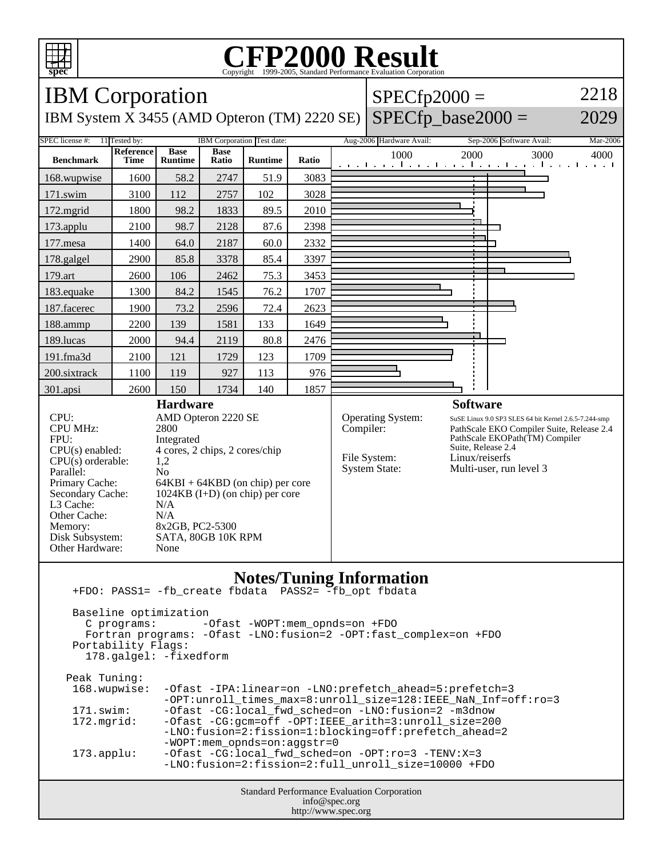

## **CFP2000 Result** Copyright 1999-2005, Standard Performance Evaluation Corporation



Baseline optimization<br>C programs: --Ofast -WOPT:mem\_opnds=on +FDO Fortran programs: -Ofast -LNO:fusion=2 -OPT:fast\_complex=on +FDO Portability Flags: 178.galgel: -fixedform Peak Tuning: 168.wupwise: -Ofast -IPA:linear=on -LNO:prefetch\_ahead=5:prefetch=3 -OPT:unroll\_times\_max=8:unroll\_size=128:IEEE\_NaN\_Inf=off:ro=3 171.swim: -Ofast -CG:local\_fwd\_sched=on -LNO:fusion=2 -m3dnow<br>172.mqrid: -Ofast -CG:qcm=off -OPT:IEEE arith=3:unroll size=200 -Ofast -CG:gcm=off -OPT:IEEE\_arith=3:unroll\_size=200 -LNO:fusion=2:fission=1:blocking=off:prefetch\_ahead=2 -WOPT:mem\_opnds=on:aggstr=0 173.applu: -Ofast -CG:local\_fwd\_sched=on -OPT:ro=3 -TENV:X=3 -LNO:fusion=2:fission=2:full\_unroll\_size=10000 +FDO

Standard Performance Evaluation Corporation info@spec.org http://www.spec.org